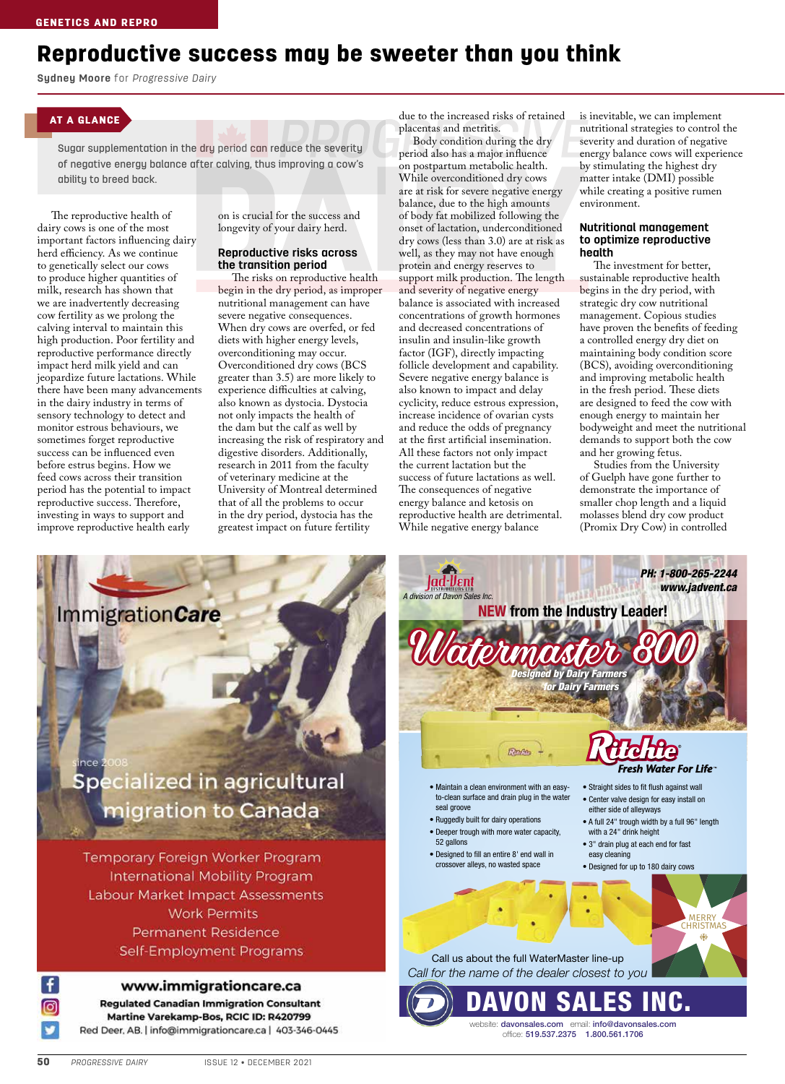# Reproductive success may be sweeter than you think

**Sydney Moore** for *Progressive Dairy*

# AT A GLANCE

Sugar supplementation in the dry period can reduce the severity of negative energy balance after calving, thus improving a cow's ability to breed back.

The reproductive health of dairy cows is one of the most important factors influencing dairy herd efficiency. As we continue to genetically select our cows to produce higher quantities of milk, research has shown that we are inadvertently decreasing cow fertility as we prolong the calving interval to maintain this high production. Poor fertility and reproductive performance directly impact herd milk yield and can jeopardize future lactations. While there have been many advancements in the dairy industry in terms of sensory technology to detect and monitor estrous behaviours, we sometimes forget reproductive success can be influenced even before estrus begins. How we feed cows across their transition period has the potential to impact reproductive success. Therefore, investing in ways to support and improve reproductive health early

on is crucial for the success and longevity of your dairy herd.

### **Reproductive risks across the transition period**

The risks on reproductive health begin in the dry period, as improper nutritional management can have severe negative consequences. When dry cows are overfed, or fed diets with higher energy levels, overconditioning may occur. Overconditioned dry cows (BCS greater than 3.5) are more likely to experience difficulties at calving, also known as dystocia. Dystocia not only impacts the health of the dam but the calf as well by increasing the risk of respiratory and digestive disorders. Additionally, research in 2011 from the faculty of veterinary medicine at the University of Montreal determined that of all the problems to occur in the dry period, dystocia has the greatest impact on future fertility

due to the increased risks of retained placentas and metritis.

Body condition during the dry period also has a major influence on postpartum metabolic health. While overconditioned dry cows are at risk for severe negative energy balance, due to the high amounts of body fat mobilized following the onset of lactation, underconditioned dry cows (less than 3.0) are at risk as well, as they may not have enough protein and energy reserves to support milk production. The length and severity of negative energy balance is associated with increased concentrations of growth hormones and decreased concentrations of insulin and insulin-like growth factor (IGF), directly impacting follicle development and capability. Severe negative energy balance is also known to impact and delay cyclicity, reduce estrous expression, increase incidence of ovarian cysts and reduce the odds of pregnancy at the first artificial insemination. All these factors not only impact the current lactation but the success of future lactations as well. The consequences of negative energy balance and ketosis on reproductive health are detrimental. While negative energy balance

is inevitable, we can implement nutritional strategies to control the severity and duration of negative energy balance cows will experience by stimulating the highest dry matter intake (DMI) possible while creating a positive rumen environment.

#### **Nutritional management to optimize reproductive health**

The investment for better, sustainable reproductive health begins in the dry period, with strategic dry cow nutritional management. Copious studies have proven the benefits of feeding a controlled energy dry diet on maintaining body condition score (BCS), avoiding overconditioning and improving metabolic health in the fresh period. These diets are designed to feed the cow with enough energy to maintain her bodyweight and meet the nutritional demands to support both the cow and her growing fetus.

Studies from the University of Guelph have gone further to demonstrate the importance of smaller chop length and a liquid molasses blend dry cow product (Promix Dry Cow) in controlled

> *PH: 1-800-265-2244 www.jadvent.ca*

# **ImmigrationCare Specialized in agricultural** migration to Canada Temporary Foreign Worker Program **International Mobility Program** Labour Market Impact Assessments **Work Permits Permanent Residence** Self-Employment Programs

www.immigrationcare.ca

**Regulated Canadian Immigration Consultant** Martine Varekamp-Bos, RCIC ID: R420799 Red Deer, AB. | info@immigrationcare.ca | 403-346-0445

*A division of Davon Sales Inc.* **NEW from the Industry Leader!** *Designed by Dairy Farmers r Dairy Farm* **Fresh Water For Life<sup>®</sup>** • Maintain a clean environment with an easy-• Straight sides to fit flush against wall to-clean surface and drain plug in the water • Center valve design for easy install on seal groove either side of alleyways • Ruggedly built for dairy operations • A full 24" trough width by a full 96" length • Deeper trough with more water capacity, with a 24" drink height 52 gallons • 3" drain plug at each end for fast • Designed to fill an entire 8' end wall in easy cleaning crossover alleys, no wasted space • Designed for up to 180 dairy cows MERRY **CHRISTMAS** Call us about the full WaterMaster line-up *Call for the name of the dealer closest to you* **SALES** website: davonsales.com email: info@davonsales.com office: 519.537.2375 1.800.561.1706